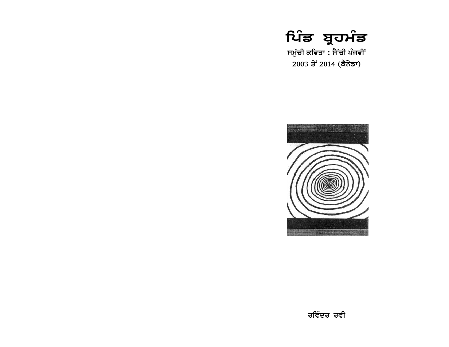

ਸਮੁੱਚੀ ਕਵਿਤਾ : ਸੈਂਚੀ ਪੰਜਵੀਂ 2003 ਤੋਂ 2014 (ਕੈਨੇਡਾ)

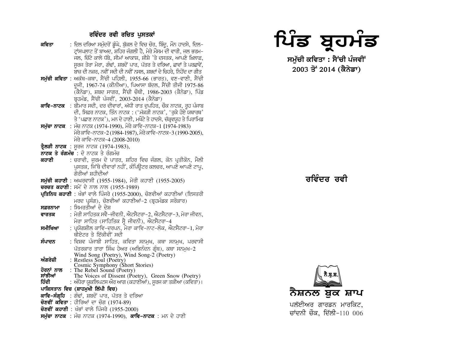#### ਰਵਿੰਦਰ ਰਵੀ ਰਚਿਤ ਪਸਤਕਾਂ

- : ਦਿਲ ਦਰਿਆ ਸਮੰਦਰੋਂ ਡੰਘੇ, ਬੱਕਲ ਦੇ ਵਿਚ ਚੋਰ, ਬਿੰਦ, ਮੌਨ ਹਾਦਸੇ, ਦਿਲ– ਕਵਿਤਾ ਟਾਂਸਪਲਾਟ ਤੋਂ ਬਾਅਦ, ਸ਼ਹਿਰ ਜੰਗਲੀ ਹੈ, ਮੇਰੇ ਮੌਸਮ ਦੀ ਵਾਰੀ, ਜਲ ਭਰਮ-ਜਲ, ਚਿੱਟੇ ਕਾਲੇ ਧੱਬੇ, ਸੀਮਾਂ ਆਕਾਸ਼, ਸ਼ੀਸ਼ੇ 'ਤੇ ਦਸਤਕ, ਆਪਣੇ ਖ਼ਿਲਾਫ਼, ਸਰਜ ਤੇਰਾ ਮੇਰਾ, ਗੰਢਾਂ, ਸ਼ਬਦੋਂ ਪਾਰ, ਪੱਤਰ ਤੇ ਦਰਿਆ, ਛਾਵਾਂ ਤੇ ਪਰਛਾਵੇਂ, ਬਾਜ਼ ਦੀ ਨਜ਼ਰ, ਨਵੀਂ ਸਦੀ ਦੀ ਨਵੀਂ ਨਸਲ, ਸ਼ਬਦਾਂ ਦੇ ਚਿਹਰੇ, ਨਿਹੋਂਦ ਦਾ ਗੀਤ
- ਸਮੱਚੀ ਕਵਿਤਾ : ਅਕੱਥ-ਕਥਾ, ਸੈਂਚੀ ਪਹਿਲੀ, 1955-66 (ਭਾਰਤ), ਵਣ-ਵਾਣੀ, ਸੈਂਚੀ ਦਜੀ, 1967-74 (ਕੀਨੀਆ), ਪਿਆਸਾ ਬੱਦਲ, ਸੈਂਚੀ ਤੀਜੀ 1975-86 (ਕੈਨੇਡਾ), ਸ਼ਬਦ ਸਾਗਰ, ਸੈਂਚੀ ਚੌਥੀ, 1986-2003 (ਕੈਨੇਡਾ), ਪਿੰਡ ਬਹਮੰਡ, ਸੈਂਚੀ ਪੰਜਵੀਂ, 2003-2014 (ਕੈਨੇਡਾ)
- ਕਾਵਿ-ਨਾਟਕ :ਬੀਮਾਰ ਸਦੀ, ਦਰ ਦੀਵਾਰਾਂ, ਅੱਧੀ ਰਾਤ ਦੁਪਹਿਰ, ਚੌਕ ਨਾਟਕ, ਰੂਹ ਪੰਜਾਬ ਦੀ, ਸਿਫ਼ਰ ਨਾਟਕ, ਤਿੰਨ ਨਾਟਕ : ('ਮੱਕੜੀ ਨਾਟਕ', 'ਰਕੇ ਹੋਏ ਯਥਾਰਥ' ਤੇ 'ਪਛਾਣ ਨਾਟਕ'), ਮਨ ਦੇ ਹਾਣੀ, ਮਖੌਟੇ ਤੇ ਹਾਦਸੇ, ਚੱਕਵਯਹ ਤੇ ਪਿਰਾਮਿਡ
- **ਸਮੱਚਾ ਨਾਟਕ** : ਮੰਚ ਨਾਟਕ (1974-1990), ਮੇਰੇ ਕਾਵਿ–ਨਾਟਕ–1 (1974-1983) ਮੇਰੇ ਕਾਵਿ–ਨਾਟਕ–2 (1984-1987), ਮੇਰੇ ਕਾਵਿ–ਨਾਟਕ–3 (1990-2005), ਮੇਰੇ ਕਾਵਿ-ਨਾਟਕ-4 (2008-2010)
- **ਤੈਲੜੀ ਨਾਟਕ** : ਸਰਜ ਨਾਟਕ (1974-1983),
- ਨਾਟਕ ਤੇ ਰੰਗਮੰਚ : ਦੋ ਨਾਟਕ ਤੇ ਰੰਗਮੰਚ
- : ਚਰਾਵੀ, ਜਰਮ ਦੇ ਪਾਤਰ, ਸ਼ਹਿਰ ਵਿਚ ਜੰਗਲ, ਕੋਨ ਪਤੀਕੋਨ, ਮੈਲੀ ਕਹਾਣੀ ਪਸਤਕ, ਜਿੱਥੇ ਦੀਵਾਰਾਂ ਨਹੀਂ, ਕੰਪਿੳਟਰ ਕਲਚਰ, ਆਪਣੇ ਆਪਣੇ ਟਾਪ, ਗ਼ੌਰੀਆਂ ਸ਼ਹੀਦੀਆਂ
- **ਸਮੱਚੀ ਕਹਾਣੀ**: ਅਘਰਵਾਸੀ (1955-1984), ਮੇਰੀ ਕਹਾਣੀ (1955-2005)
- ਚਰਚਤ ਕਹਾਣੀ: ਸਮੇਂ ਦੇ ਨਾਲ ਨਾਲ (1955-1989)
- ਪਤਿਨਿਧ ਕਹਾਣੀ : ਖੰਭਾਂ ਵਾਲੇ ਪਿੰਜਰੇ (1955-2000), ਚੋਣਵੀਆਂ ਕਹਾਣੀਆਂ (ਇਸਤਰੀ ਮਰਦ ਪਸੰਗ), ਚੋਣਵੀਆਂ ਕਹਾਣੀਆਂ-2 (ਬਹਮੰਡਕ ਸਰੋਕਾਰ)
- : ਸਿਮਰਤੀਆਂ ਦੇ ਦੇਸ਼ ਸਫ਼ਰਨਾਮਾ
- : ਮੇਰੀ ਸਾਹਿਤਕ ਸਵੈ-ਜੀਵਨੀ, ਐਟਸੈਟਰਾ-2, ਐਟਸੈਟਰਾ-3, ਮੇਰਾ ਜੀਵਨ, ਵਾਰਤਕ ਮੇਰਾ ਸਾਹਿਤ (ਸਾਹਿਤਿਕ ਸੈ ਜੀਵਨੀ), ਐਂਟਸੈਟਰਾ-4
- ∶ ਪਯੋਗਸ਼ੀਲ ਕਾਵਿ−ਦਰਪਨ. ਮੇਰਾ ਕਾਵਿ−ਨਾਟ−ਲੋਕ. ਐਟਸੈਟਰਾ−1. ਮੇਰਾ ਸਮੀਖਿਆ ਥੀਏਟਰ ਤੇ ਇੱਕੀਵੀਂ ਸਦੀ
- : ਵਿਸ਼ਵ ਪੰਜਾਬੀ ਸਾਹਿਤ, ਕਵਿਤਾ ਸਨਮਖ, ਕਥਾ ਸਨਮਖ, ਪਰਵਾਸੀ ਸੰਪਾਦਨ ਪੱਤਰਕਾਰ ਤਾਰਾ ਸਿੰਘ ਹੇਅਰ (ਅਭਿਨੰਦਨ ਗ੍ਰੰਥ), ਕਥਾ ਸਨਮੁਖ-2
- Wind Song (Poetry), Wind Song-2 (Poetry)<br>: Restless Soul (Poetry) ਅੰਗਰੇਜ਼ੀ  $\vec{v}$  Cosmic Symphony (Short Stories)<br>  $\vec{v}$   $\vec{\sigma}$   $\vec{\sigma}$   $\vec{\sigma}$  : The Rebel Sound (Poetry)
- ਸਾਂਝੀਆਂ
- The Voices of Dissent (Poetry), Green Snow (Poetry) : ਅੰਧੇਰਾ ਯੁਕਲਿਪਟਸ ਔਰ ਆਗ (ਕਹਾਣੀਆਂ), ਸੂਰਜ ਕਾ ਤਕੀਆ (ਕਵਿਤਾ)। ਹਿੰਦੀ
- ਪਾਕਿਸਤਾਨ ਵਿਚ (ਸ਼ਾਹਮੁਖੀ ਲਿੱਪੀ ਵਿਚ)
- ਕਾਵਿ-ਸੰਗ੍ਰਹਿ : ਗੰਢਾਂ, ਸ਼ਬਦੋਂ ਪਾਰ, ਪੱਤਰ ਤੇ ਦਰਿਆ
- **ਚੋਣਵੀਂ ਕਵਿਤਾ** : ਹੀਰਿਆਂ ਦਾ ਚੋਗ (1974-89)
- **ਚੋਣਵੀਂ ਕਹਾਣੀ** : ਖੰਭਾਂ ਵਾਲੇ ਪਿੰਜਰੇ (1955-2000)
- ਸਮੱਚਾ ਨਾਟਕ : ਮੰਚ ਨਾਟਕ (1974-1990), **ਕਾਵਿ-ਨਾਟਕ** : ਮਨ ਦੇ ਹਾਣੀ



ਸਮੱਚੀ ਕਵਿਤਾ : ਸੈਂਚੀ ਪੰਜਵੀਂ  $2003 \frac{1}{3} 2014$  (ਕੈਨੇਡਾ)

ਜਵਿੰਦਰ ਰਵ<u>ੀ</u>

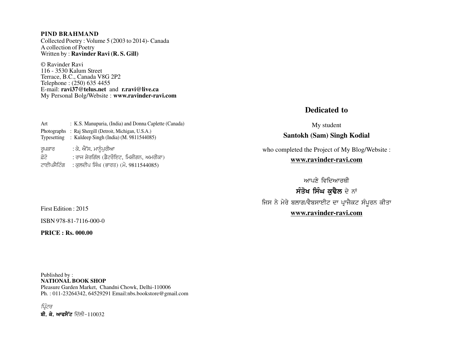#### **PIND BRAHMAND**

Collected Poetry : Volume 5 (2003 to 2014)- Canada A collection of Poetry Written by : **Ravinder Ravi (R. S. Gill)**

© Ravinder Ravi 116 - 3530 Kalum Street Terrace, B.C., Canada V8G 2P2 Telephone : (250) 635 4455 E-mail: **ravi37@telus.net** and **r.ravi@live.ca** My Personal Bolg/Website : **www.ravinder-ravi.com**

| Art                        | : K.S. Manupuria, (India) and Donna Caplette (Canada)                                 |
|----------------------------|---------------------------------------------------------------------------------------|
| Photographs<br>Typesetting | : Raj Shergill (Detroit, Michigan, U.S.A.)<br>: Kuldeep Singh (India) (M. 9811544085) |
| ਰੁਪਕਾਰ                     | : ਕੇ. ਐੱਸ. ਮਾਨੂੰਪੂਰੀਆ                                                                 |
| ਫ਼ੋਟੋ                      | : ਰਾਜ ਸ਼ੇਰਗਿੱਲ (ਡੈਟਰੌਇਟ, ਮਿਸ਼ੀਗਨ, ਅਮਰੀਕਾ)                                             |
| ਟਾਈਪਸੈਟਿੰਗ                 | : ਕੁਲਦੀਪ ਸਿੰਘ (ਭਾਰਤ) (ਮੋ. 9811544085)                                                 |

#### **Dedicated to**

My student **Santokh (Sam) Singh Kodial**

who completed the Project of My Blog/Website : **www.ravinder-ravi.com**

ਆਪਣੇ ਵਿਦਿਆਰਥੀ ਸੰਤੋਖ ਸਿੰਘ ਕੁਢੈਲ ਦੇ ਨਾਂ ਜਿਸ ਨੇ ਮੇਰੇ ਬਲਾਗ/ਵੈਬਸਾਈਟ ਦਾ ਪ੍ਰਾਜੈਕਟ ਸੰਪੂਰਨ ਕੀਤਾ **www.ravinder-ravi.com**

First Edition : 2015

ISBN 978-81-7116-000-0

**PRICE : Rs. 000.00**

Published by : **NATIONAL BOOK SHOP** Pleasure Garden Market, Chandni Chowk, Delhi-110006 Ph. : 011-23264342, 64529291 Email:nbs.bookstore@gmail.com

ਪਿੰਟਰ ਬੀ. ਕੇ. ਆਫਸੈੱਟ ਦਿੱਲੀ-110032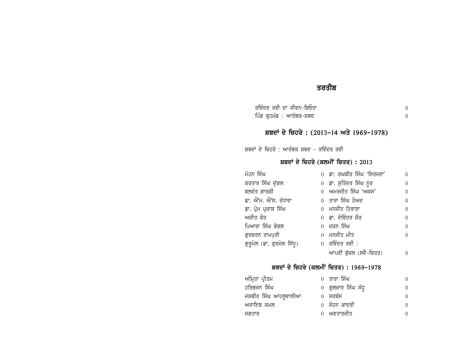# ਤਰਤੀਬ

| ਰਵਿੰਦਰ ਰਵੀ ਦਾ ਜੀਵਨ-ਬਿਓਰਾ  |  |
|---------------------------|--|
| ਪਿੰਡ ਬ੍ਰਹਮੰਡ : ਆਰੰਭਕ–ਸ਼ਬਦ |  |

ਸ਼ਬਦਾਂ ਦੇ ਚਿਹਰੇ : (2013-14 ਅਤੇ 1969-1978)

ਸ਼ਬਦਾਂ ਦੇ ਚਿਹਰੇ : ਆਰੰਭਕ ਸ਼ਬਦ – ਰਵਿੰਦਰ ਰਵੀ

### ਸ਼ਬਦਾਂ ਦੇ ਚਿਹਰੇ (ਕਲਮੀਂ ਚਿਤਰ) : 2013

| ਮੋਹਨ ਸਿੰਘ                  | 0 ਡਾ. ਰਘਬੀਰ ਸਿੰਘ 'ਸਿਰਜਣਾ'    | $\Omega$ |
|----------------------------|------------------------------|----------|
| ਕਰਤਾਰ ਸਿੰਘ ਦੁੱਗਲ           | 0 ਡਾ. ਸੁਤਿੰਦਰ ਸਿੰਘ ਨੂਰ       | 0        |
| ਬਲਵੰਤ ਗਾਰਗੀ                | 0 ਅਮਰਜੀਤ ਸਿੰਘ 'ਅਕਸ'          | $\Omega$ |
| ਡਾ. ਐੱਮ. ਐੱਸ. ਰੰਧਾਵਾ       | 0 ਤਾਰਾ ਸਿੰਘ ਹੇਅਰ             | $\Omega$ |
| ਡਾ. ਪ੍ਰੇਮ ਪ੍ਰਕਾਸ਼ ਸਿੰਘ     | 0 ਮਨਜੀਤ ਟਿਵਾਣਾ               | $\Omega$ |
| ਅਜੀਤ ਕੌਰ                   | 0 ਡਾ. ਦੇਵਿੰਦਰ ਕੌਰ            | $\Omega$ |
| ਪਿਆਰਾ ਸਿੰਘ ਭੋਗਲ            | 0 ਚਰਨ ਸਿੰਘ                   | $\Omega$ |
| ਗੁਰਚਰਨ ਰਾਮਪੁਰੀ             | 0 ਮਨਜੀਤ ਮੀਤ                  | $\Omega$ |
| ਗੁਰੁਮੇਲ (ਡਾ. ਗੁਰਮੇਲ ਸਿੱਧੁ) | $0 \overline{}$ ਰਵਿੰਦਰ ਰਵੀ : |          |
|                            | ਆਪਣੀ ਬੱਕਲ (ਸਵੈ-ਚਿਤਰ)         |          |

### ਸ਼ਬਦਾਂ ਦੇ ਚਿਹਰੇ (ਕਲਮੀਂ ਚਿਤਰ) : 1969-1978

| ਅੰਮ੍ਰਿਤਾ ਪ੍ਰੀਤਮ      | 0 ਤਾਰਾ ਸਿੰਘ         | 0        |
|----------------------|---------------------|----------|
| ਹਰਿਭਜਨ ਸਿੰਘ          | 0 ਗੁਲਜ਼ਾਰ ਸਿੰਘ ਸੰਧੁ | $\Omega$ |
| ਜਸਬੀਰ ਸਿੰਘ ਆਹਲੂਵਾਲੀਆ | 0 ਸਰਬੰਸ             | $\Omega$ |
| ਅਜਾਇਬ ਕਮਲ            | 0 ਸੋਹਨ ਕਾਦਰੀ        | $\theta$ |
| ਜਗਤਾਰ                | 0 ਅਵਤਾਰਜੀਤ          | 0        |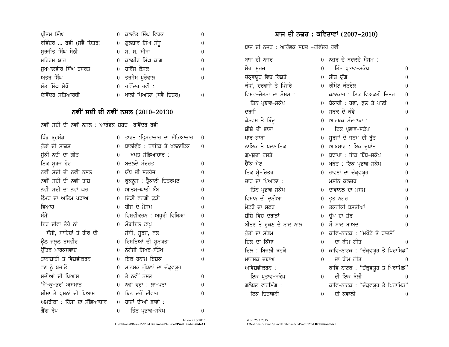| ਪ੍ਰੀਤਮ ਸਿੰਘ            | 0 ਕੁਲਵੰਤ ਸਿੰਘ ਵਿਰਕ           |  |
|------------------------|------------------------------|--|
| ਰਵਿੰਦਰ  ਰਵੀ (ਸਵੈ ਚਿਤਰ) | 0 ਗੁਲਜ਼ਾਰ ਸਿੰਘ ਸੰਧੁ          |  |
| ਸਰਜੀਤ ਸਿੰਘ ਸੇਠੀ        | 0 ਸ. ਸ. ਮੀਸ਼ਾ                |  |
| ਮਹਿਰਮ ਯਾਰ              | 0 ਕਲਬੀਰ ਸਿੰਘ ਕਾਂਗ            |  |
| ਸੁਖਪਾਲਵੀਰ ਸਿੰਘ ਹਸਰਤ    | 0 ਬਰਿੱਜ ਕੌਸ਼ਕ                |  |
| ਅਤਰ ਸਿੰਘ               | 0 ਤਰਸੇਮ ਪਰੇਵਾਲ               |  |
| ਸੰਤ ਸਿੰਘ ਸੇਖੋਂ         | $0 \overline{}$ ਰਵਿੰਦਰ ਰਵੀ : |  |
| ਦੇਵਿੰਦਰ ਸਤਿਆਰਥੀ        | 0 ਖਾਲੀ ਪਿਆਲਾ (ਸਵੈ ਚਿਤਰ)      |  |

## ਨਵੀਂ ਸਦੀ ਦੀ ਨਵੀਂ ਨਸਲ (2010-20130

ਨਵੀਂ ਸਦੀ ਦੀ ਨਵੀਂ ਨਸਲ : ਆਰੰਭਕ ਸ਼ਬਦ –ਰਵਿੰਦਰ ਰਵੀ

| ਪਿੰਡ ਬ੍ਰਹਮੰਡ               | $\overline{0}$   | ਭਾਰਤ :ਭ੍ਰਿਸ਼ਟਾਚਾਰ ਦਾ ਸੱਭਿਆਚਾਰ | $\boldsymbol{0}$ |
|----------------------------|------------------|-------------------------------|------------------|
| ਰੁੱਤਾਂ ਦੀ ਸਾਜ਼ਸ਼           | $\overline{0}$   | ਬਾਲੀਵੁੱਡ : ਨਾਇਕ ਤੇ ਖਲਨਾਇਕ     | $\theta$         |
| ਸੁੱਕੀ ਨਦੀ ਦਾ ਗੀਤ           | $\Omega$         | ਖਪਤ-ਸੱਭਿਆਚਾਰ :                |                  |
| ਇਕ ਸੂਰਜ ਹੋਰ                |                  | 0 ਬਦਲਦੇ ਸੰਦਰਭ                 | $\theta$         |
| ਨਵੀਂ ਸਦੀ ਦੀ ਨਵੀਂ ਨਸਲ       | $\overline{0}$   | ਯੁੱਧ ਦੀ ਸ਼ਤਰੰਜ                | $\overline{0}$   |
| ਨਵੀਂ ਸਦੀ ਦੀ ਨਵੀਂ ਤਾਸ਼      | $\boldsymbol{0}$ | ਕੁਕਨੂਸ : ਤ੍ਰੈਕਾਲੀ ਚਿਤਰਪਟ      | 0                |
| ਨਵੀਂ ਸਦੀ ਦਾ ਨਵਾਂ ਘਰ        | $\theta$         | ਆਤਮ-ਘਾਤੀ ਬੰਬ                  | 0                |
| ਉਮਰ ਦਾ ਅੰਤਿਮ ਪੜਾਅ          | $\overline{0}$   | ਚਿੜੀ ਵਰਗੀ ਕੁੜੀ                | $\theta$         |
| ਵਿਆਹ                       | $\Omega$         | ਬੀਜ ਦੇ ਮੌਸਮ                   | $\theta$         |
| ਮੰਮੇਂ                      | 0                | ਵਿਸ਼ਵੀਕਰਨ : ਅਧੂਰੀ ਵਿਥਿਆ       | $\overline{0}$   |
| ਇਹ ਦੀਵਾ ਤੇਰੇ ਨਾਂ           | 0                | ਮੋਬਾਇਲ ਟਾਪੂ                   | $\overline{0}$   |
| ਸੱਸੀ, ਸਾਹਿਬਾਂ ਤੇ ਹੀਰ ਦੀ    |                  | ਸੱਸੀ, ਸੁਰਜ, ਥਲ                | 0                |
| ਊਲ ਜਲੂਲ ਤਸਵੀਰ              | $\overline{0}$   | ਰਿਸ਼ਤਿਆਂ ਦੀ ਸ਼ੁਨਯਤਾ           | $\theta$         |
| ਉੱਤਰ ਮਾਰਕਸਵਾਦ              | 0                | ਨੰਗੇਜੀ ਸਿਖਰ-ਸੰਤੋਖ             | $\theta$         |
| ਤਾਨਾਸ਼ਾਹੀ ਤੇ ਵਿਸ਼ਵੀਕਰਨ     | 0                | ਇਕ ਬੇਨਾਮ ਇਸ਼ਕ                 | $\theta$         |
| ਵਣ ਨੂੰ ਬਚਾਓ                | 0                | ਮਾਨਸਕ ਗੁੰਝਲਾਂ ਦਾ ਚੱਕ੍ਰਵਯੂਹ    |                  |
| ਸਦੀਆਂ ਦੀ ਪਿਆਸ              | $\overline{0}$   | ਤੇ ਨਵੀਂ ਨਸਲ                   | $\overline{0}$   |
| 'ਮੈਂ−ਕੁ−ਭਰ' ਅਸਮਾਨ          | 0                | ਨਵਾਂ ਵਰ੍ਹਾ : ਲਾ-ਪਤਾ           | $\theta$         |
| ਸ਼ੀਸ਼ਾ ਤੇ ਪ੍ਰਸ਼ਨਾਂ ਦੀ ਪਿਆਸ | $\Omega$         | ਬਿਨ ਦਰੋਂ ਦੀਵਾਰ                | $\theta$         |
| ਅਮਰੀਕਾ : ਹਿੰਸਾ ਦਾ ਸੱਭਿਆਚਾਰ |                  | 0 ਬਾਜ਼ਾਂ ਦੀਆਂ ਛਾਵਾਂ :         |                  |
| ਗੈਂਗ ਰੇਪ                   | $\overline{0}$   | ਤਿੰਨ ਪ੍ਰਭਾਵ–ਸਕੇਪ              | $\overline{0}$   |

## ਬਾਜ਼ ਦੀ ਨਜ਼ਰ : ਕਵਿਤਾਵਾਂ (2007-2010)

ਬਾਜ਼ ਦੀ ਨਜ਼ਰ : ਆਰੰਭਕ ਸ਼ਬਦ –ਰਵਿੰਦਰ ਰਵੀ

| ਬਾਜ਼ ਦੀ ਨਜ਼ਰ             | $\theta$         | ਨਜ਼ਰ ਦੇ ਬਦਲਦੇ ਮੌਸਮ :                 |                  |
|--------------------------|------------------|--------------------------------------|------------------|
| ਮੇਰਾ ਸੂਰਜ                | $\boldsymbol{0}$ | ਤਿੰਨ ਪ੍ਰਭਾਵ–ਸਕੇਪ                     | $\boldsymbol{0}$ |
| ਚੱਕ੍ਰਵਯੁਹ ਵਿਚ ਰਿਸ਼ਤੇ     | $\boldsymbol{0}$ | ਸੀਤ ਯੁੱਗ                             | $\boldsymbol{0}$ |
| ਕੰਧਾਂ, ਦਰਵਾਜ਼ੇ ਤੇ ਪਿੰਜਰੇ | $\theta$         | ਰੀਮੋਟ ਕੰਟਰੋਲ                         | $\theta$         |
| ਵਿਸ਼ਵ-ਚੇਤਨਾ ਦਾ ਮੌਸਮ :    |                  | ਕਲਾਕਾਰ : ਇਕ ਵਿਅਕਤੀ ਚਿਤਰ              | $\boldsymbol{0}$ |
| ਤਿੰਨ ਪ੍ਰਭਾਵ-ਸਕੇਪ         | $\theta$         | ਬੇਕਾਰੀ : ਹਵਾ, ਫੁਲ ਤੇ ਪਾਣੀ            | $\boldsymbol{0}$ |
| ਦਰਜ਼ੀ                    | $\theta$         | ਸੜਕ ਦੇ ਕੰਢੇ                          | $\overline{0}$   |
| ਕੈਨਵਸ ਤੇ ਬਿੰਦੁ           | $\theta$         | ਆਰਥਕ ਮੰਦਵਾੜਾ :                       |                  |
| ਸ਼ੀਸ਼ੇ ਦੀ ਭਾਸ਼ਾ          | $\theta$         | ਇਕ ਪ੍ਰਭਾਵ-ਸਕੇਪ                       | $\theta$         |
| ਪਾਰ–ਗਾਥਾ                 | $\boldsymbol{0}$ | ਸੁਰਜਾਂ ਦੇ ਜਨਮ ਦੀ ਰੁੱਤ                | $\boldsymbol{0}$ |
| ਨਾਇਕ ਤੇ ਖਲਨਾਇਕ           | $\boldsymbol{0}$ | ਆਬਸ਼ਾਰ : ਇਕ ਦੁਖਾਂਤ                   | $\boldsymbol{0}$ |
| ਗੁਮਸ਼ੁਦਾ ਰਸਤੇ            | $\boldsymbol{0}$ | ਬੁਢਾਪਾ : ਇਕ ਬਿੰਬ-ਸਕੇਪ                | $\overline{0}$   |
| ਚੈੱਕ-ਮੇਟ                 | $\boldsymbol{0}$ | ਖੜੋਤ : ਇਕ ਪ੍ਰਭਾਵ-ਸਕੇਪ                | $\boldsymbol{0}$ |
| ਇਕ ਸ੍ਵੈ-ਚਿਤਰ             | $\overline{0}$   | ਰਾਵਣਾਂ ਦਾ ਚੱਕ੍ਰਵਯੁਹ                  | $\overline{0}$   |
| ਚਾਹ ਦਾ ਪਿਆਲਾ :           |                  | ਮਸ਼ੀਨ ਕਲਚਰ                           | $\boldsymbol{0}$ |
| ਤਿੰਨ ਪ੍ਰਭਾਵ-ਸਕੇਪ         | $\overline{0}$   | ਦਾਵਾਨਲ ਦਾ ਮੌਸਮ                       | $\overline{0}$   |
| ਵਿਮਾਨ ਦੀ ਦੁਨੀਆ           | $\overline{0}$   | ਭੂਤ ਨਗਰ                              | $\boldsymbol{0}$ |
| ਮੈਟਰੋ ਦਾ ਸਫ਼ਰ            | $\theta$         | ਤਕਨੀਕੀ ਬਸਤੀਆਂ                        | $\boldsymbol{0}$ |
| ਸ਼ੀਸ਼ੇ ਵਿਚ ਦਰਾੜਾਂ        | $\overline{0}$   | ਚੁੱਪ ਦਾ ਸ਼ੋਰ                         | $\boldsymbol{0}$ |
| ਬੀਤਣ ਤੇ ਰੁਕਣ ਦੇ ਨਾਲ ਨਾਲ  | $\theta$         | ਸੌ ਸਾਲ ਬਾਅਦ                          | $\overline{0}$   |
| ਰੁੱਤਾਂ ਦਾ ਸੰਗਮ           | $\theta$         | ਕਾਵਿ-ਨਾਟਕ : "ਮਖੌਟੇ ਤੇ ਹਾਦਸੇ"         |                  |
| ਦਿਲ ਦਾ ਕਿੱਸਾ             | $\boldsymbol{0}$ | ਦਾ ਥੀਮ ਗੀਤ                           | 0                |
| ਦਿਲ : ਬਿਜਲੀ ਝਟਕੇ         | $\overline{0}$   | ਕਾਵਿ-ਨਾਟਕ : ''ਚੱਕ੍ਵਯੂਹ ਤੇ ਪਿਰਾਮਿਡ''  |                  |
| ਮਾਨਸਕ ਦਬਾਅ               | $\theta$         | ਦਾ ਥੀਮ ਗੀਤ                           | $\left( \right)$ |
| ਅਵਿਸ਼ਵੀਕਰਨ :             |                  | ਕਾਵਿ-ਨਾਟਕ : ''ਚੱਕ੍ਰਵਯੂਹ ਤੇ ਪਿਰਾਮਿਡ'' |                  |
| ਇਕ ਪ੍ਰਭਾਵ-ਸਕੇਪ           | $\theta$         | ਦੀ ਇਕ ਬੋਲੀ                           | $\theta$         |
| ਗਲੋਬਲ ਵਾਰਮਿੰਗ :          |                  | ਕਾਵਿ-ਨਾਟਕ : ''ਚੱਕ੍ਰਵਯੂਹ ਤੇ ਪਿਰਾਮਿਡ'' |                  |
| ਇਕ ਚਿਤਾਵਨੀ               | 0                | ਦੀ ਕਵਾਲੀ                             | $\theta$         |

Ist on 25.3.2015 D:/National/Ravi-15/Pind Brahmand/1-Proof/Pind Brahmand-A1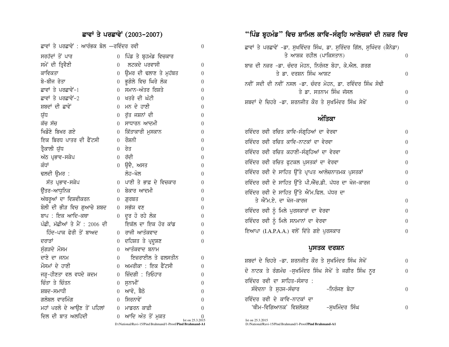# ਛਾਵਾਂ ਤੇ ਪਰਛਾਵੇਂ (2003-2007)

| ਛਾਵਾਂ ਤੇ ਪਰਛਾਵੇਂ : ਆਰੰਭਕ ਬੋਲ —ਰਵਿੰਦਰ ਰਵੀ |                |                                                            | 0                |
|------------------------------------------|----------------|------------------------------------------------------------|------------------|
| ਸਰਹੱਦਾਂ ਤੋਂ ਪਾਰ                          | $\overline{0}$ | ਪਿੰਡ ਤੇ ਬ੍ਰਹਮੰਡ ਵਿਚਕਾਰ                                     |                  |
| ਸਮੇਂ ਦੀ ਤ੍ਰਿਵੈਣੀ                         | 0              | ਲਟਕਦੇ ਪਰਵਾਸੀ                                               | 0                |
| ਕਾਵਿਕਤਾ                                  | $\theta$       | ਉਮਰ ਦੀ ਢਲਾਣ ਤੇ ਮੁਹੱਬਤ                                      | 0                |
| ਬੇ-ਬੀਜ ਰੇਤਾ                              | $\overline{0}$ | ਭੁਗੋਲੇ ਵਿਚ ਘਿਰੇ ਲੋਕ                                        | 0                |
| ਛਾਵਾਂ ਤੇ ਪਰਛਾਵੇਂ-1                       | 0              | ਸਮਾਨ-ਅੰਤਰ ਰਿਸ਼ਤੇ                                           | 0                |
| ਛਾਵਾਂ ਤੇ ਪਰਛਾਵੇਂ-2                       | 0              | ਖਤਰੇ ਦੀ ਘੰਟੀ                                               | 0                |
| ਸ਼ਬਦਾਂ ਦੀ ਛਾਵੇਂ                          | 0              | ਮਨ ਦੇ ਹਾਣੀ                                                 | 0                |
| ਯੁੱਧ                                     | $\overline{0}$ | ਰੁੱਤ ਜਸ਼ਨਾਂ ਦੀ                                             | 0                |
| ਕੱਚ ਸੱਚ                                  | $\overline{0}$ | ਸਾਧਾਰਨ ਆਦਮੀ                                                | 0                |
| ਖਿਡੌਣੇ ਬਿਖਰ ਗਏ                           | 0              | ਕਿੱਤਾਕਾਰੀ ਮੁਸਕਾਨ                                           | $\theta$         |
| ਇਕ ਬਿਰਧ ਪਾਤਰ ਦੀ ਫੈਂਟਸੀ                   | 0              | ਰੌਸ਼ਨੀ                                                     | 0                |
| ਤ੍ਰੈਕਾਲੀ ਯੁੱਧ                            | $\theta$       | ਰੇਤ                                                        | 0                |
| ਅੱਠ ਪ੍ਰਭਾਵ–ਸਕੇਪ                          | 0              | ਰੱਦੀ                                                       | 0                |
| ਕੰਧਾਂ                                    | $\overline{0}$ | ਉਦੈ, ਅਸਤ                                                   | 0                |
| ਢਲਦੀ ਉਮਰ :                               |                | ਲੋਹ–ਖੋਲ                                                    | $\theta$         |
| ਸੱਤ ਪ੍ਰਭਾਵ-ਸਕੇਪ                          | 0              | ਪਾਣੀ ਤੇ ਭਾਫ਼ ਦੇ ਵਿਚਕਾਰ                                     | 0                |
| ਉੱਤਰ–ਆਧੁਨਿਕ                              | $\Omega$       | ਬੇਕਾਰ ਆਦਮੀ                                                 | 0                |
| ਅੱਥਰੂਆਂ ਦਾ ਵਿਸ਼ਵੀਕਰਨ                     | 0              | .ਗਰਬਤ                                                      | 0                |
| ਬੋਲੀ ਦੀ ਭੀੜ ਵਿਚ ਗੁਆਚੇ ਸ਼ਬਦ               | $\overline{0}$ | ਸਭੱਯ ਵਣ                                                    | 0                |
| ਬਾਪ : ਇਕ ਆਦਿ-ਕਥਾ                         | $\overline{0}$ | ਦੂਰ ਹੋ ਰਹੇ ਲੋਕ                                             | $\theta$         |
| ਪੰਛੀ, ਮੱਛੀਆਂ ਤੇ ਮੈਂ : 2006 ਦੀ            |                | ਇਕੱਲ ਦਾ ਇਕ ਹੋਰ ਕਾਂਡ                                        | 0                |
| ਹਿੰਦ-ਪਾਕ ਫੇਰੀ ਤੋਂ ਬਾਅਦ                   | 0              | ਰਾਜੀ ਆਤੰਕਵਾਦ                                               | 0                |
| ਦਰਾਤਾਂ                                   | 0              | ਦਹਿਸ਼ਤ ਤੇ ਪ੍ਰਦੂਸ਼ਣ                                         | 0                |
| ਸੁੰਗੜਦੇ ਮੌਸਮ                             | $\theta$       | ਆਤੰਕਵਾਦ ਬਨਾਮ                                               |                  |
| ਦਾਣੇ ਦਾ ਜਨਮ                              | 0              | ਇਜ਼ਰਾਈਲ ਤੇ ਫਲਸਤੀਨ                                          | 0                |
| ਮੌਸਮਾਂ ਦੇ ਹਾਣੀ                           | 0              | ਅਮਰੀਕਾ : ਇਕ ਫੈਂਟਸੀ                                         | 0                |
| ਜੜ੍ਹ-ਹੀਣਤਾ ਵਲ ਵਧਦੇ ਕਦਮ                   | 0              | ਜ਼ਿੰਦਗੀ : ਤਿਓਹਾਰ                                           | 0                |
| ਚਿੰਤਾ ਤੇ ਚਿੰਤਨ                           | 0              | ਸੁਨਾਮੀਂ                                                    | 0                |
| ਸ਼ਬਦ–ਸਮਾਧੀ                               | $\overline{0}$ | ਆਵੋ, ਬੈਠੋ                                                  | 0                |
| ਗਲੋਬਲ ਵਾਰਮਿੰਗ                            | $\Omega$       | ਸਿਰਨਾਵੇਂ                                                   | 0                |
| ਮਹਾਂ ਪਰਲੋ ਦੇ ਆਉਣ ਤੋਂ ਪਹਿਲਾਂ              | 0              | ਮਾਡਰਨ ਕਾਫ਼ੀ                                                | 0                |
| ਦਿਲ ਦੀ ਬਾਤ ਅਲਹਿਦੀ                        | 0              | ਆਦਿ ਅੰਤ ਤੋਂ ਮੁਕਤ                                           | Ist on 25.3.2015 |
|                                          |                | D:/National/Ravi-15/Pind Brahmand/1-Proof/Pind Brahmand-A1 |                  |

# "ਪਿੰਡ ਬ੍ਰਹਮੰਡ" ਵਿਚ ਸ਼ਾਮਿਲ ਕਾਵਿ–ਸੰਗ੍ਰਹਿ ਆਲੋਚਕਾਂ ਦੀ ਨਜ਼ਰ ਵਿਚ

| ਛਾਵਾਂ ਤੇ ਪਰਛਾਵੇਂ -ਡਾ. ਸੁਖਵਿੰਦਰ ਸਿੰਘ, ਡਾ. ਸੁਰਿੰਦਰ ਗਿੱਲ, ਸੁਖਿੰਦਰ (ਕੈਨੇਡਾ) |   |
|-------------------------------------------------------------------------|---|
| ਤੇ ਆਸ਼ਕ ਰਹੀਲ (ਪਾਕਿਸਤਾਨ)                                                 |   |
| ਬਾਜ਼ ਦੀ ਨਜ਼ਰ –ਡਾ. ਚੰਦਰ ਮੋਹਨ, ਨਿਰੰਜਣ ਬੋਹਾ, ਕੇ.ਐਲ. ਗਰਗ                    |   |
| ਤੇ ਡਾ. ਦਰਸ਼ਨ ਸਿੰਘ ਆਸ਼ਟ                                                  | 0 |
| ਨਵੀਂ ਸਦੀ ਦੀ ਨਵੀਂ ਨਸਲ -ਡਾ. ਚੰਦਰ ਮੋਹਨ, ਡਾ. ਰਵਿੰਦਰ ਸਿੰਘ ਸੋਢੀ               |   |
| ਤੇ ਡਾ. ਸਤਨਾਮ ਸਿੰਘ ਜੱਸਲ                                                  |   |
| ਸ਼ਬਦਾਂ ਦੇ ਚਿਹਰੇ –ਡਾ. ਸ਼ਰਨਜੀਤ ਕੌਰ ਤੇ ਸਖਮਿੰਦਰ ਸਿੰਘ ਸੇਖੋਂ                  |   |

#### ਅੰਤਿਕਾ

| ਰਵਿੰਦਰ ਰਵੀ ਰਚਿਤ ਕਾਵਿ-ਸੰਗ੍ਰਹਿਆਂ ਦਾ ਵੇਰਵਾ              | $\theta$ |
|------------------------------------------------------|----------|
| ਰਵਿੰਦਰ ਰਵੀ ਰਚਿਤ ਕਾਵਿ-ਨਾਟਕਾਂ ਦਾ ਵੇਰਵਾ                 | $\theta$ |
| ਰਵਿੰਦਰ ਰਵੀ ਰਚਿਤ ਕਹਾਣੀ-ਸੰਗ੍ਰਹਿਆਂ ਦਾ ਵੇਰਵਾ             | 0        |
| ਰਵਿੰਦਰ ਰਵੀ ਰਚਿਤ ਫੁਟਕਲ ਪੁਸਤਕਾਂ ਦਾ ਵੇਰਵਾ               | $\Omega$ |
| ਰਵਿੰਦਰ ਰਵੀ ਦੇ ਸਾਹਿਤ ਉੱਤੇ ਪ੍ਰਾਪਤ ਆਲੋਚਨਾਤਮਕ ਪੁਸਤਕਾਂ    | 0        |
| ਰਵਿੰਦਰ ਰਵੀ ਦੇ ਸਾਹਿਤ ਉੱਤੇ ਪੀ.ਐੱਚ.ਡੀ. ਪੱਧਰ ਦਾ ਖੋਜ-ਕਾਰਜ | $\Omega$ |
| ਰਵਿੰਦਰ ਰਵੀ ਦੇ ਸਾਹਿਤ ਉੱਤੇ ਐੱਮ.ਫਿਲ. ਪੱਧਰ ਦਾ            |          |
| ਤੇ ਐੱਮ.ਏ. ਦਾ ਖੋਜ-ਕਾਰਜ                                | $\Omega$ |
| ਰਵਿੰਦਰ ਰਵੀ ਨੂੰ ਮਿਲੇ ਪੁਰਸਕਾਰਾਂ ਦਾ ਵੇਰਵਾ               | $\theta$ |
| ਰਵਿੰਦਰ ਰਵੀ ਨੂੰ ਮਿਲੇ ਸਨਮਾਨਾਂ ਦਾ ਵੇਰਵਾ                 | $\theta$ |
| ਇਆਪਾ (I.A.P.A.A.) ਵਲੋਂ ਦਿੱਤੇ ਗਏ ਪੁਰਸਕਾਰ              | $\theta$ |

#### ਪੁਸਤਕ ਦਰਸ਼ਨ

| ਸ਼ਬਦਾਂ ਦੇ ਚਿਹਰੇ -ਡਾ. ਸ਼ਰਨਜੀਤ ਕੌਰ ਤੇ ਸੁਖਮਿੰਦਰ ਸਿੰਘ ਸੇਖੋਂ |               | 0 |
|---------------------------------------------------------|---------------|---|
| ਦੋ ਨਾਟਕ ਤੇ ਰੰਗਮੰਚ -ਸੁਖਮਿੰਦਰ ਸਿੰਘ ਸੇਖੋਂ ਤੇ ਜਗੀਰ ਸਿੰਘ ਨੂਰ |               | 0 |
| ਰਵਿੰਦਰ ਰਵੀ ਦਾ ਸਾਹਿਤ-ਸੰਸਾਰ :<br>ਸੰਵੇਦਨਾ ਤੇ ਸਹਜ-ਸੰਚਾਰ     | -ਨਿਰੰਜਣ ਬੋਹਾ  | 0 |
| ਰਵਿੰਦਰ ਰਵੀ ਦੇ ਕਾਵਿ-ਨਾਟਕਾਂ ਦਾ<br>'ਥੀਮ-ਵਿਗਿਆਨਕ' ਵਿਸ਼ਲੇਸ਼ਣ | -ਸਖਮਿੰਦਰ ਸਿੰਘ |   |

Ist on 25.3.2015 D:/National/Ravi-15/Pind Brahmand/1-Proof/Pind Brahmand-A1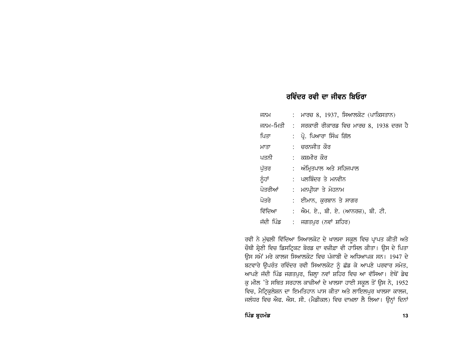## ਰਵਿੰਦਰ ਰਵੀ ਦਾ ਜੀਵਨ ਬਿਓਰਾ

| ਜਨਮ       | : ਮਾਰਚ 8, 1937, ਸਿਆਲਕੋਟ (ਪਾਕਿਸਤਾਨ)               |
|-----------|--------------------------------------------------|
|           | ਜਨਮ-ਮਿਤੀ : ਸਰਕਾਰੀ ਰੀਕਾਰਡ ਵਿਚ ਮਾਰਚ 8, 1938 ਦਰਜ ਹੈ |
| ਪਿਤਾ      | : ਪ੍ਰੋ. ਪਿਆਰਾ ਸਿੰਘ ਗਿੱਲ                          |
| ਮਾਤਾ      | : ਚਰਨਜੀਤ ਕੌਰ                                     |
| ਪਤਨੀ      | : ਕਸ਼ਮੀਰ ਕੌਰ                                     |
| ਪੱਤਰ      | :  ਅੰਮ੍ਰਿਤਪਾਲ ਅਤੇ ਸਹਿਜਪਾਲ                        |
| ਨੂੰਹਾਂ    | :   ਪਲਬਿੰਦਰ ਤੇ ਮਨਵੀਨ                             |
| ਪੋਤਰੀਆਂ   | : ਮਨਪ੍ਰੀਯਾ ਤੇ ਮੋਹਨਾਮ                             |
| ਪੋਤਰੇ     | :   ਈਮਾਨ, ਕਰਬਾਨ ਤੇ ਸਾਗਰ                          |
| ਵਿੱਦਿਆ    | : ਐਮ. ਏ., ਬੀ. ਏ. (ਆਨਰਜ਼), ਬੀ. ਟੀ.                |
| ਜੱਦੀ ਪਿੰਡ | :    ਜਗਤਪੁਰ (ਨਵਾਂ  ਸ਼ਹਿਰ)                        |

ਰਵੀ ਨੇ ਮੁੱਢਲੀ ਵਿੱਦਿਆ ਸਿਆਲਕੋਟ ਦੇ ਖਾਲਸਾ ਸਕੂਲ ਵਿਚ ਪ੍ਰਾਪਤ ਕੀਤੀ ਅਤੇ ਚੌਥੀ ਸ਼੍ਰੇਣੀ ਵਿਚ ਡਿਸਟ੍ਰਿਕਟ ਬੋਰਡ ਦਾ ਵਜ਼ੀਫ਼ਾ ਵੀ ਹਾਸਿਲ ਕੀਤਾ। ਉਸ ਦੇ ਪਿਤਾ ਉਸ ਸਮੇਂ ਮਰੇ ਕਾਲਜ ਸਿਆਲਕੋਟ ਵਿਚ ਪੰਜਾਬੀ ਦੇ ਅਧਿਆਪਕ ਸਨ। 1947 ਦੇ ਬਟਵਾਰੇ ਉਪਰੰਤ ਰਵਿੰਦਰ ਰਵੀ ਸਿਆਲਕੋਟ ਨੂੰ ਛੱਡ ਕੇ ਆਪਣੇ ਪਰਵਾਰ ਸਮੇਤ, ਆਪਣੇ ਜੱਦੀ ਪਿੰਡ ਜਗਤਪੁਰ, ਜ਼ਿਲ੍ਹਾ ਨਵਾਂ ਸ਼ਹਿਰ ਵਿਚ ਆ ਵੱਸਿਆ। ਏਥੋਂ ਡੇਢ ਕੁ ਮੀਲ 'ਤੇ ਸਥਿਤ ਸਰਹਾਲ ਕਾਜ਼ੀਆਂ ਦੇ ਖਾਲਸਾ ਹਾਈ ਸਕੂਲ ਤੋਂ ਉਸ ਨੇ, 1952 ਵਿਚ, ਮੈਟ੍ਰਿਕੁਲੇਸ਼ਨ ਦਾ ਇਮਤਿਹਾਨ ਪਾਸ ਕੀਤਾ ਅਤੇ ਲਾਇਲਪੁਰ ਖਾਲਸਾ ਕਾਲਜ, ਜਲੰਧਰ ਵਿਚ ਐਫ. ਐਸ. ਸੀ. (ਮੈਡੀਕਲ) ਵਿਚ ਦਾਖ਼ਲਾ ਲੈ ਲਿਆ। ਉਨ੍ਹਾਂ ਦਿਨਾਂ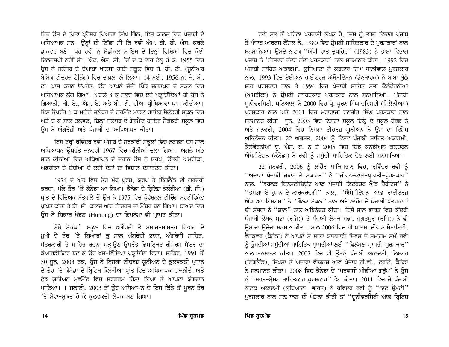ਵਿਚ ਉਸ ਦੇ ਪਿਤਾ ਪ੍ਰੋਫੈਸਰ ਪਿਆਰਾ ਸਿੰਘ ਗਿੱਲ, ਇਸ ਕਾਲਜ ਵਿਚ ਪੰਜਾਬੀ ਦੇ ਅਧਿਆਪਕ ਸਨ। ਉਨ੍ਹਾਂ ਦੀ ਇੱਛਾ ਸੀ ਕਿ ਰਵੀ ਐਮ. ਬੀ. ਬੀ. ਐਸ. ਕਰਕੇ ਡਾਕਟਰ ਬਣੇ। ਪਰ ਰਵੀ ਨੂੰ ਮੈਡੀਕਲ ਸਾਇੰਸ ਦੇ ਇਨ੍ਹਾਂ ਵਿਸ਼ਿਆਂ ਵਿਚ ਕੋਈ ਦਿਲਚਸਪੀ ਨਹੀਂ ਸੀ। ਐਫ. ਐਸ. ਸੀ. 'ਚੋਂ ਦੋ ਕ ਵਾਰ ਫੇਲ ਹੋ ਕੇ, 1955 ਵਿਚ ਉਸ ਨੇ ਜਲੰਧਰ ਦੇ ਦੋਆਬਾ ਖਾਲਸਾ ਹਾਈ ਸਕੂਲ ਵਿਚ ਜੇ. ਬੀ. ਟੀ. (ਜੂਨੀਅਰ ਬੇਸਿਕ ਟੀਚਰਜ਼ ਟ੍ਰੇਨਿੰਗ) ਵਿਚ ਦਾਖ਼ਲਾ ਲੈ ਲਿਆ। 14 ਮਈ, 1956 ਨੂੰ, ਜੇ. ਬੀ. ਟੀ. ਪਾਸ ਕਰਨ ਉਪਰੰਤ, ਉਹ ਆਪਣੇ ਜੱਦੀ ਪਿੰਡ ਜਗਤਪੁਰ ਦੇ ਸਕੂਲ ਵਿਚ ਅਧਿਆਪਕ ਲੱਗ ਗਿਆ। ਅਗਲੇ 8 ਕੁ ਸਾਲਾਂ ਵਿਚ ਏਥੇ ਪੜ੍ਹਾਉਂਦਿਆਂ ਹੀ ਉਸ ਨੇ ਗਿਆਨੀ, ਬੀ. ਏ., ਐਮ. ਏ. ਅਤੇ ਬੀ. ਟੀ. ਦੀਆਂ ਪ੍ਰੀਖਿਆਵਾਂ ਪਾਸ ਕੀਤੀਆਂ। ਇਸ ਉਪਰੰਤ 6 ਕੁ ਮਹੀਨੇ ਜਲੰਧਰ ਦੇ ਗੋਰਮੈਂਟ ਮਾਡਲ ਹਾਇਰ ਸੈਕੰਡਰੀ ਸਕੂਲ ਵਿਚ ਅਤੇ ਦੋ ਕੁ ਸਾਲ ਤਲਵਣ, ਜ਼ਿਲ੍ਹਾ ਜਲੰਧਰ ਦੇ ਗੌਰਮੈਂਟ ਹਾਇਰ ਸੈਕੰਡਰੀ ਸਕੂਲ ਵਿਚ ਉਸ ਨੇ ਅੰਗਰੇਜ਼ੀ ਅਤੇ ਪੰਜਾਬੀ ਦਾ ਅਧਿਆਪਨ ਕੀਤਾ।

ਇਸ ਤਰ੍ਹਾਂ ਰਵਿੰਦਰ ਰਵੀ ਪੰਜਾਬ ਦੇ ਸਰਕਾਰੀ ਸਕੂਲਾਂ ਵਿਚ ਲਗਭਗ ਦਸ ਸਾਲ ਅਧਿਆਪਨ ਉਪਰੰਤ ਜਨਵਰੀ 1967 ਵਿਚ ਕੀਨੀਆਂ ਚਲਾ ਗਿਆ। ਅਗਲੇ ਅੱਠ ਸਾਲ ਕੀਨੀਆਂ ਵਿਚ ਅਧਿਆਪਨ ਦੇ ਦੌਰਾਨ ਉਸ ਨੇ ਯੂਰਪ, ਉੱਤਰੀ ਅਮਰੀਕਾ, ਅਫ਼ਰੀਕਾ ਤੇ ਏਸ਼ੀਆ ਦੇ ਕਈ ਦੇਸ਼ਾਂ ਦਾ ਵਿਸ਼ਾਲ ਦੇਸ਼ਾਰਟਨ ਕੀਤਾ।

1974 ਦੇ ਅੰਤ ਵਿਚ ਉਹ ਮੱਧ ਪੂਰਬ, ਯੂਰਪ ਤੇ ਇੰਗਲੈਂਡ ਦੀ ਗਰਦੌਰੀ ਕਰਦਾ, ਪੱਕੇ ਤੌਰ 'ਤੇ ਕੈਨੇਡਾ ਆ ਗਿਆ। ਕੈਨੇਡਾ ਦੇ ਬ੍ਰਿਟਿਸ਼ ਕੋਲੰਬੀਆ (ਬੀ. ਸੀ.) ਪ੍ਰਾਂਤ ਦੇ ਵਿੱਦਿਅਕ ਮੰਤਰਾਲੇ ਤੋਂ ਉਸ ਨੇ 1975 ਵਿਚ ਪ੍ਰੋਫੈਸ਼ਨਲ ਟੀਚਿੰਗ ਸਰਟੀਫਿਕੇਟ ਪ੍ਰਾਪਤ ਕੀਤਾ ਤੇ ਬੀ. ਸੀ. ਕਾਲਜ ਆਫ ਟੀਚਰਜ਼ ਦਾ ਮੈਂਬਰ ਬਣ ਗਿਆ। ਬਾਅਦ ਵਿਚ ਉਸ ਨੇ ਸ਼ਿਕਾਰ ਖੇਡਣ (Hunting) ਦਾ ਡਿਪਲੋਮਾ ਵੀ ਪ੍ਰਾਪਤ ਕੀਤਾ।

ਏਥੇ ਸੈਕੰਡਰੀ ਸਕੂਲ ਵਿਚ ਅੰਗੇਰਜ਼ੀ ਤੇ ਸਮਾਜ-ਸ਼ਾਸਤਰ ਵਿਭਾਗ ਦੇ ਮੁਖੀ ਦੇ ਤੌਰ 'ਤੇ ਗਿਆਰਾਂ ਕੁ ਸਾਲ ਅੰਗਰੇਜ਼ੀ ਭਾਸ਼ਾ, ਅੰਗਰੇਜ਼ੀ ਸਾਹਿਤ, ਪੱਤਰਕਾਰੀ ਤੇ ਸਾਹਿਤ-ਰਚਨਾ ਪੜ੍ਹਾੳਣ ੳਪਰੰਤ ਡਿਸਟ੍ਰਿਕਟ ਰੀਸੋਰਸ ਸੈਂਟਰ ਦਾ ਕੋਆਰਡੀਨੇਟਰ ਬਣ ਕੇ ਉਹ ਖੋਜ-ਵਿੱਦਿਆ ਪੜ੍ਹਾਉਂਦਾ ਰਿਹਾ। ਸਤੰਬਰ, 1991 ਤੋਂ 30 ਜੂਨ, 2003 ਤਕ, ਉਸ ਨੇ ਨਿਸਗਾ ਟੀਚਰਜ਼ ਯੂਨੀਅਨ ਦੇ ਕੁਲਵਕਤੀ ਪ੍ਰਧਾਨ ਦੇ ਤੌਰ 'ਤੇ ਕੈਨੇਡਾ ਦੇ ਬ੍ਰਿਟਿਸ਼ ਕੋਲੰਬੀਆ ਪ੍ਰਾਂਤ ਵਿਚ ਅਧਿਆਪਕ ਰਾਜਨੀਤੀ ਅਤੇ ਟ੍ਰੇਡ ਯੂਨੀਅਨ ਮੁਵਮੈਂਟ ਵਿਚ ਸਰਗਰਮ ਹਿੱਸਾ ਲਿਆ ਤੇ ਆਪਣਾ ਯੋਗਦਾਨ ਪਾਇਆ। 1 ਜਲਾਈ, 2003 ਤੋਂ ਉਹ ਅਧਿਆਪਨ ਦੇ ਇਸ ਕਿੱਤੇ ਤੋਂ ਪੂਰਨ ਤੌਰ 'ਤੇ ਸੇਵਾ-ਮੁਕਤ ਹੋ ਕੇ ਕੁਲਵਕਤੀ ਲੇਖਕ ਬਣ ਗਿਆ।

ਰਵੀ ਸਭ ਤੋਂ ਪਹਿਲਾ ਪਰਵਾਸੀ ਲੇਖਕ ਹੈ, ਜਿਸ ਨੂੰ ਭਾਸ਼ਾ ਵਿਭਾਗ ਪੰਜਾਬ ਤੇ ਪੰਜਾਬ ਆਰਟਸ ਕੌਂਸਲ ਨੇ, 1980 ਵਿਚ ਸ਼੍ਰੋਮਣੀ ਸਾਹਿਤਕਾਰ ਦੇ ਪੁਰਸਕਾਰਾਂ ਨਾਲ ਸਨਮਾਨਿਆ। ਉਸਦੇ ਨਾਟਕ "ਅੱਧੀ ਰਾਤ ਦਪਹਿਰ" (1983) ਨੂੰ ਭਾਸ਼ਾ ਵਿਭਾਗ ਪੰਜਾਬ ਨੇ 'ਈਸ਼ਵਰ ਚੰਦਰ ਨੰਦਾ ਪਰਸਕਾਰ' ਨਾਲ ਸਨਮਾਨਤ ਕੀਤਾ। 1992 ਵਿਚ ਪੰਜਾਬੀ ਸਾਹਿਤ ਅਕਾਡਮੀ, ਲੁਧਿਆਣਾ ਨੇ ਕਰਤਾਰ ਸਿੰਘ ਧਾਲੀਵਾਲ ਪੁਰਸਕਾਰ ਨਾਲ, 1993 ਵਿਚ ਏਸ਼ੀਅਨ ਰਾਈਟਰਜ਼ ਐਸੋਸੀਏਸ਼ਨ (ਡੈਨਮਾਰਕ) ਨੇ ਬਾਬਾ ਬੁੱਲ੍ਹੇ ਸ਼ਾਹ ਪਰਸਕਾਰ ਨਾਲ ਤੇ 1994 ਵਿਚ ਪੰਜਾਬੀ ਸਾਹਿਤ ਸਭਾ ਕੈਲੇਫੋਰਨੀਆ (ਅਮਰੀਕਾ) ਨੇ ਸ਼ੋਮਣੀ ਸਾਹਿਤਕਾਰ ਪਰਸਕਾਰ ਨਾਲ ਸਨਮਾਨਿਆ। ਪੰਜਾਬੀ ਯੂਨੀਵਰਸਿਟੀ, ਪਟਿਆਲਾ ਨੇ 2000 ਵਿਚ ਪ੍ਰੋ. ਪੂਰਨ ਸਿੰਘ ਦਹਿਸਦੀ (ਮਿਲੇਨੀਅਮ) ਪਰਸਕਾਰ ਨਾਲ ਅਤੇ 2001 ਵਿਚ ਮਹਾਰਾਜਾ ਰਣਜੀਤ ਸਿੰਘ ਪਰਸਕਾਰ ਨਾਲ ਸਨਮਾਨਤ ਕੀਤਾ। ਜੂਨ, 2003 ਵਿਚ ਨਿਸਗਾ ਸਕੂਲ-ਜ਼ਿਲ੍ਹੇ ਦੇ ਸਕੂਲ ਬੋਰਡ ਨੇ ਅਤੇ ਜਨਵਰੀ, 2004 ਵਿਚ ਨਿਸਗਾ ਟੀਚਰਜ਼ ਯੂਨੀਅਨ ਨੇ ਉਸ ਦਾ ਵਿਸ਼ੇਸ਼ ਅਭਿਨੰਦਨ ਕੀਤਾ। 22 ਅਗਸਤ, 2004 ਨੂੰ ਵਿਸ਼ਵ ਪੰਜਾਬੀ ਸਾਹਿਤ ਅਕਾਡਮੀ, ਕੈਲੇਫੋਰਨੀਆਂ ਯੂ. ਐਸ. ਏ. ਨੇ ਤੇ 2005 ਵਿਚ ਇੰਡੋ ਕਨੇਡੀਅਨ ਕਲਚਰਲ ਐਸੋਸੀਏਸ਼ਨ (ਕੈਨੇਡਾ) ਨੇ ਰਵੀ ਨੂੰ ਸਮੱਚੀ ਸਾਹਿਤਿਕ ਦੇਣ ਲਈ ਸਨਮਾਨਿਆ।

22 ਜਨਵਰੀ, 2006 ਨੂੰ ਲਾਹੌਰ ਪਾਕਿਸਤਾਨ ਵਿਚ, ਰਵਿੰਦਰ ਰਵੀ ਨੂੰ "ਅਦਾਰਾ ਪੰਜਾਬੀ ਜ਼ਬਾਨ ਤੇ ਸਕਾਫ਼ਤ" ਨੇ "ਜੀਵਨ-ਕਾਲ-ਪ੍ਰਾਪਤੀ-ਪਰਸਕਾਰ" ਨਾਲ, "ਵਰਲਡ ਇਨਸਟੀਚਿੳਟ ਆਫ਼ ਪੰਜਾਬੀ ਲਿਟਰੇਚਰ ਐਂਡ ਹੈਰੀਟੇਜ" ਨੇ "ਤਮਗ਼ਾ-ਏ-ਹੁਸਨ-ਏ-ਕਾਰਕਰਦਗੀ'' ਨਾਲ, "ਐਸੋਸੀਏਸ਼ਨ ਆਫ਼ ਰਾਈਟਰਜ਼ ਐਂਡ ਆਰਟਿਸਟਸ" ਨੇ "ਗੋਲਡ ਮੈਡਲ" ਨਾਲ ਅਤੇ ਲਾਹੌਰ ਦੇ ਪੰਜਾਬੀ ਪੱਤਰਕਾਰਾਂ ਦੀ ਸੰਸਥਾ ਨੇ ''ਸ਼ਾਲ'' ਨਾਲ ਅਭਿਨੰਦਤ ਕੀਤਾ। ਇਸੇ ਸਾਲ ਭਾਰਤ ਵਿਚ ਕੇਂਦਰੀ ਪੰਜਾਬੀ ਲੇਖਕ ਸਭਾ (ਰਜਿ:) ਤੇ ਪੰਜਾਬੀ ਲੇਖਕ ਸਭਾ, ਜਗਤਪੁਰ (ਰਜਿ:) ਨੇ ਵੀ ਉਸ ਦਾ ਉਚੇਚਾ ਸਨਮਾਨ ਕੀਤਾ। ਸਾਲ 2006 ਵਿਚ ਹੀ ਖਾਲਸਾ ਦੀਵਾਨ ਸੋਸਾਇਟੀ, ਵੈਨਕਵਰ (ਕੈਨੇਡਾ) ਨੇ ਆਪਣੇ ਸੌ ਸਾਲਾ ਯਾਦਗਾਰੀ ਦਿਵਸ ਦੇ ਸਮਾਗਮ ਸਮੇਂ ਰਵੀ ਨੂੰ ਉਸਦੀਆਂ ਸਮੁੱਚੀਆਂ ਸਾਹਿਤਿਕ ਪ੍ਰਾਪਤੀਆਂ ਲਈ "ਵਿਲੱਖਣ-ਪ੍ਰਾਪਤੀ-ਪੁਰਸਕਾਰ" ਨਾਲ ਸਨਮਾਨਤ ਕੀਤਾ। 2007 ਵਿਚ ਵੀ ਉਸਨੂੰ ਪੰਜਾਬੀ ਅਕਾਦਮੀ, ਲਿਸਟਰ (ਇੰਗਲੈਂਡ), ਸਿਪਸਾ ਤੇ ਅਦਾਰਾ ਵੀਯਨਜ਼ ਆਫ਼ ਪੰਜਾਬ ਟੀ.ਵੀ., ਟਰਾਂਟੋ, ਕੈਨੇਡਾ ਨੇ ਸਨਮਾਨਤ ਕੀਤਾ। 2008 ਵਿਚ ਕੈਨੇਡਾ ਦੇ 'ਪਰਵਾਸੀ ਮੀਡੀਆ ਗਰੱਪ' ਨੇ ਉਸ ਨੂੰ "ਸਰਬ-ਸ੍ਰੇਸ਼ਟ ਸਾਹਿਤਕਾਰ ਪੁਰਸਕਾਰ" ਭੇਟ ਕੀਤਾ। 2011 ਵਿਚ ਜੇ ਪੰਜਾਬੀ ਨਾਟਕ ਅਕਾਦਮੀ (ਲੁਧਿਆਣਾ, ਭਾਰਤ) ਨੇ ਰਵਿੰਦਰ ਰਵੀ ਨੂੰ "ਨਾਟ ਸ਼੍ਰੋਮਣੀ" ਪੁਰਸਕਾਰ ਨਾਲ ਸਨਮਾਨਣ ਦੀ ਘੋਸ਼ਨਾ ਕੀਤੀ ਤਾਂ "ਯੂਨੀਵਰਸਿਟੀ ਆਫ਼ ਬ੍ਰਿਟਿਸ਼